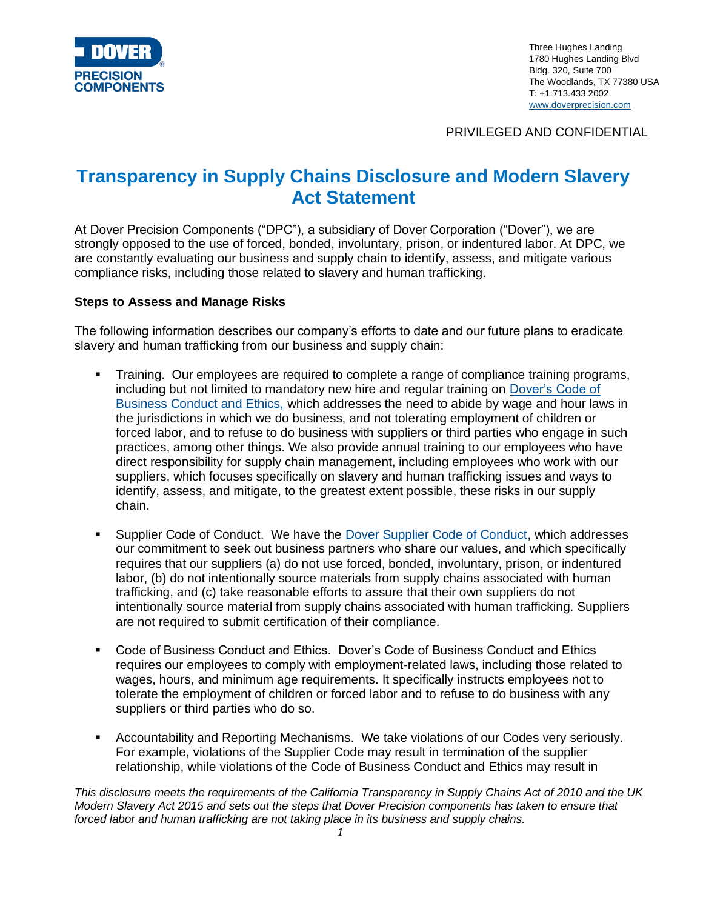

Three Hughes Landing 1780 Hughes Landing Blvd Bldg. 320, Suite 700 The Woodlands, TX 77380 USA T: +1.713.433.2002 [www.doverprecision.com](http://www.doverprecision.com/)

PRIVILEGED AND CONFIDENTIAL

## **Transparency in Supply Chains Disclosure and Modern Slavery Act Statement**

At Dover Precision Components ("DPC"), a subsidiary of Dover Corporation ("Dover"), we are strongly opposed to the use of forced, bonded, involuntary, prison, or indentured labor. At DPC, we are constantly evaluating our business and supply chain to identify, assess, and mitigate various compliance risks, including those related to slavery and human trafficking.

## **Steps to Assess and Manage Risks**

The following information describes our company's efforts to date and our future plans to eradicate slavery and human trafficking from our business and supply chain:

- Training. Our employees are required to complete a range of compliance training programs, including but not limited to mandatory new hire and regular training on [Dover's Code of](https://www.dovercorporation.com/about-us/our-governance/dover-code-of-business-conduct-ethics)  [Business Conduct and Ethics,](https://www.dovercorporation.com/about-us/our-governance/dover-code-of-business-conduct-ethics) which addresses the need to abide by wage and hour laws in the jurisdictions in which we do business, and not tolerating employment of children or forced labor, and to refuse to do business with suppliers or third parties who engage in such practices, among other things. We also provide annual training to our employees who have direct responsibility for supply chain management, including employees who work with our suppliers, which focuses specifically on slavery and human trafficking issues and ways to identify, assess, and mitigate, to the greatest extent possible, these risks in our supply chain.
- **EXECT** Supplier Code of Conduct. We have the **Dover Supplier Code of Conduct**, which addresses our commitment to seek out business partners who share our values, and which specifically requires that our suppliers (a) do not use forced, bonded, involuntary, prison, or indentured labor, (b) do not intentionally source materials from supply chains associated with human trafficking, and (c) take reasonable efforts to assure that their own suppliers do not intentionally source material from supply chains associated with human trafficking. Suppliers are not required to submit certification of their compliance.
- Code of Business Conduct and Ethics. Dover's Code of Business Conduct and Ethics requires our employees to comply with employment-related laws, including those related to wages, hours, and minimum age requirements. It specifically instructs employees not to tolerate the employment of children or forced labor and to refuse to do business with any suppliers or third parties who do so.
- Accountability and Reporting Mechanisms. We take violations of our Codes very seriously. For example, violations of the Supplier Code may result in termination of the supplier relationship, while violations of the Code of Business Conduct and Ethics may result in

*This disclosure meets the requirements of the California Transparency in Supply Chains Act of 2010 and the UK Modern Slavery Act 2015 and sets out the steps that Dover Precision components has taken to ensure that forced labor and human trafficking are not taking place in its business and supply chains.*